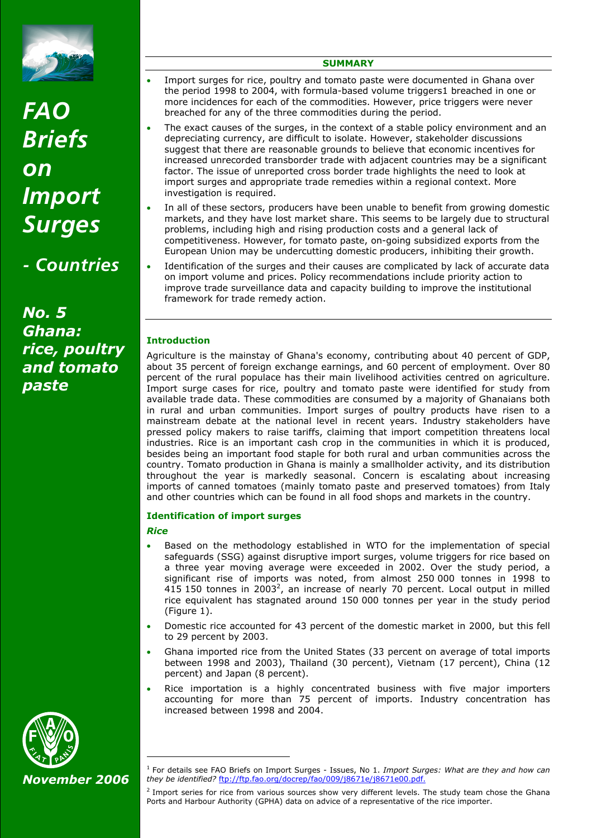

# *FAO Briefs on Import Surges*

*- Countries* 

*No. 5 Ghana: rice, poultry and tomato paste*

# **SUMMARY**

- Import surges for rice, poultry and tomato paste were documented in Ghana over the period 1998 to 2004, with formula-based volume triggers1 breached in one or more incidences for each of the commodities. However, price triggers were never breached for any of the three commodities during the period.
- The exact causes of the surges, in the context of a stable policy environment and an depreciating currency, are difficult to isolate. However, stakeholder discussions suggest that there are reasonable grounds to believe that economic incentives for increased unrecorded transborder trade with adjacent countries may be a significant factor. The issue of unreported cross border trade highlights the need to look at import surges and appropriate trade remedies within a regional context. More investigation is required.
- In all of these sectors, producers have been unable to benefit from growing domestic markets, and they have lost market share. This seems to be largely due to structural problems, including high and rising production costs and a general lack of competitiveness. However, for tomato paste, on-going subsidized exports from the European Union may be undercutting domestic producers, inhibiting their growth.
- Identification of the surges and their causes are complicated by lack of accurate data on import volume and prices. Policy recommendations include priority action to improve trade surveillance data and capacity building to improve the institutional framework for trade remedy action.

# **Introduction**

Agriculture is the mainstay of Ghana's economy, contributing about 40 percent of GDP, about 35 percent of foreign exchange earnings, and 60 percent of employment. Over 80 percent of the rural populace has their main livelihood activities centred on agriculture. Import surge cases for rice, poultry and tomato paste were identified for study from available trade data. These commodities are consumed by a majority of Ghanaians both in rural and urban communities. Import surges of poultry products have risen to a mainstream debate at the national level in recent years. Industry stakeholders have pressed policy makers to raise tariffs, claiming that import competition threatens local industries. Rice is an important cash crop in the communities in which it is produced, besides being an important food staple for both rural and urban communities across the country. Tomato production in Ghana is mainly a smallholder activity, and its distribution throughout the year is markedly seasonal. Concern is escalating about increasing imports of canned tomatoes (mainly tomato paste and preserved tomatoes) from Italy and other countries which can be found in all food shops and markets in the country.

## **Identification of import surges**

# *Rice*

ł

- Based on the methodology established in WTO for the implementation of special safeguards (SSG) against disruptive import surges, volume triggers for rice based on a three year moving average were exceeded in 2002. Over the study period, a significant rise of imports was noted, from almost 250 000 tonnes in 1998 to 415 150 tonnes in 2003<sup>2</sup>, an increase of nearly 70 percent. Local output in milled rice equivalent has stagnated around 150 000 tonnes per year in the study period (Figure 1).
- Domestic rice accounted for 43 percent of the domestic market in 2000, but this fell to 29 percent by 2003.
- Ghana imported rice from the United States (33 percent on average of total imports between 1998 and 2003), Thailand (30 percent), Vietnam (17 percent), China (12 percent) and Japan (8 percent).
- Rice importation is a highly concentrated business with five major importers accounting for more than 75 percent of imports. Industry concentration has increased between 1998 and 2004.



<sup>1</sup> For details see FAO Briefs on Import Surges - Issues, No 1. *Import Surges: What are they and how can they be identified?* ftp://ftp.fao.org/docrep/fao/009/j8671e/j8671e00.pdf.

<sup>2</sup> Import series for rice from various sources show very different levels. The study team chose the Ghana Ports and Harbour Authority (GPHA) data on advice of a representative of the rice importer.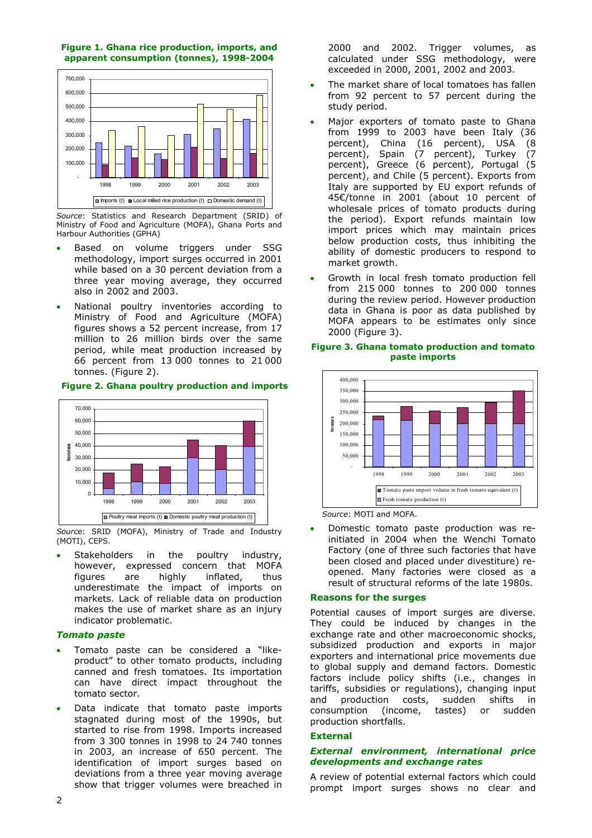



*Source*: Statistics and Research Department (SRID) of Ministry of Food and Agriculture (MOFA), Ghana Ports and Harbour Authorities (GPHA)

- Based on volume triggers under SSG methodology, import surges occurred in 2001 while based on a 30 percent deviation from a three year moving average, they occurred also in 2002 and 2003.
- National poultry inventories according to Ministry of Food and Agriculture (MOFA) figures shows a 52 percent increase, from 17 million to 26 million birds over the same period, while meat production increased by 66 percent from 13 000 tonnes to 21 000 tonnes. (Figure 2).





*Source*: SRID (MOFA), Ministry of Trade and Industry (MOTI), CEPS.

Stakeholders in the poultry industry, however, expressed concern that MOFA figures are highly inflated, thus underestimate the impact of imports on markets. Lack of reliable data on production makes the use of market share as an injury indicator problematic.

## *Tomato paste*

- Tomato paste can be considered a "likeproduct" to other tomato products, including canned and fresh tomatoes. Its importation can have direct impact throughout the tomato sector.
- Data indicate that tomato paste imports stagnated during most of the 1990s, but started to rise from 1998. Imports increased from 3 300 tonnes in 1998 to 24 740 tonnes in 2003, an increase of 650 percent. The identification of import surges based on deviations from a three year moving average show that trigger volumes were breached in

2000 and 2002. Trigger volumes, as calculated under SSG methodology, were exceeded in 2000, 2001, 2002 and 2003.

- The market share of local tomatoes has fallen from 92 percent to 57 percent during the study period.
- Major exporters of tomato paste to Ghana from 1999 to 2003 have been Italy (36 percent), China (16 percent), USA (8 percent), Spain (7 percent), Turkey (7 percent), Greece (6 percent), Portugal (5 percent), and Chile (5 percent). Exports from Italy are supported by EU export refunds of 45€/tonne in 2001 (about 10 percent of wholesale prices of tomato products during the period). Export refunds maintain low import prices which may maintain prices below production costs, thus inhibiting the ability of domestic producers to respond to market growth.
- Growth in local fresh tomato production fell from 215 000 tonnes to 200 000 tonnes during the review period. However production data in Ghana is poor as data published by MOFA appears to be estimates only since 2000 (Figure 3).

#### **Figure 3. Ghana tomato production and tomato paste imports**



 *Source*: MOTI and MOFA.

• Domestic tomato paste production was reinitiated in 2004 when the Wenchi Tomato Factory (one of three such factories that have been closed and placed under divestiture) reopened. Many factories were closed as a result of structural reforms of the late 1980s.

## **Reasons for the surges**

Potential causes of import surges are diverse. They could be induced by changes in the exchange rate and other macroeconomic shocks, subsidized production and exports in major exporters and international price movements due to global supply and demand factors. Domestic factors include policy shifts (i.e., changes in tariffs, subsidies or regulations), changing input and production costs, sudden shifts in consumption (income, tastes) or sudden production shortfalls.

## **External**

## *External environment, international price developments and exchange rates*

A review of potential external factors which could prompt import surges shows no clear and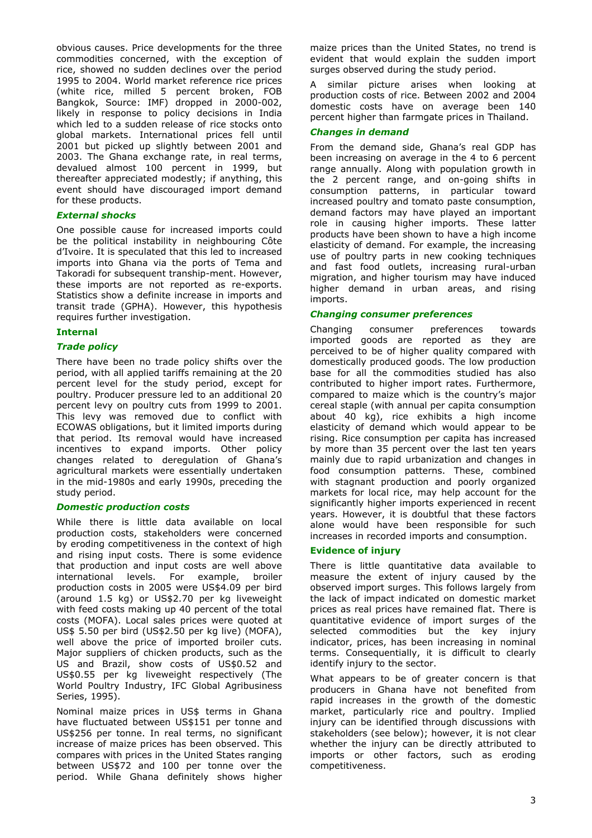obvious causes. Price developments for the three commodities concerned, with the exception of rice, showed no sudden declines over the period 1995 to 2004. World market reference rice prices (white rice, milled 5 percent broken, FOB Bangkok, Source: IMF) dropped in 2000-002, likely in response to policy decisions in India which led to a sudden release of rice stocks onto global markets. International prices fell until 2001 but picked up slightly between 2001 and 2003. The Ghana exchange rate, in real terms, devalued almost 100 percent in 1999, but thereafter appreciated modestly; if anything, this event should have discouraged import demand for these products.

## *External shocks*

One possible cause for increased imports could be the political instability in neighbouring Côte d'Ivoire. It is speculated that this led to increased imports into Ghana via the ports of Tema and Takoradi for subsequent tranship-ment. However, these imports are not reported as re-exports. Statistics show a definite increase in imports and transit trade (GPHA). However, this hypothesis requires further investigation.

## **Internal**

## *Trade policy*

There have been no trade policy shifts over the period, with all applied tariffs remaining at the 20 percent level for the study period, except for poultry. Producer pressure led to an additional 20 percent levy on poultry cuts from 1999 to 2001. This levy was removed due to conflict with ECOWAS obligations, but it limited imports during that period. Its removal would have increased incentives to expand imports. Other policy changes related to deregulation of Ghana's agricultural markets were essentially undertaken in the mid-1980s and early 1990s, preceding the study period.

#### *Domestic production costs*

While there is little data available on local production costs, stakeholders were concerned by eroding competitiveness in the context of high and rising input costs. There is some evidence that production and input costs are well above international levels. For example, broiler production costs in 2005 were US\$4.09 per bird (around 1.5 kg) or US\$2.70 per kg liveweight with feed costs making up 40 percent of the total costs (MOFA). Local sales prices were quoted at US\$ 5.50 per bird (US\$2.50 per kg live) (MOFA), well above the price of imported broiler cuts. Major suppliers of chicken products, such as the US and Brazil, show costs of US\$0.52 and US\$0.55 per kg liveweight respectively (The World Poultry Industry, IFC Global Agribusiness Series, 1995).

Nominal maize prices in US\$ terms in Ghana have fluctuated between US\$151 per tonne and US\$256 per tonne. In real terms, no significant increase of maize prices has been observed. This compares with prices in the United States ranging between US\$72 and 100 per tonne over the period. While Ghana definitely shows higher

maize prices than the United States, no trend is evident that would explain the sudden import surges observed during the study period.

A similar picture arises when looking at production costs of rice. Between 2002 and 2004 domestic costs have on average been 140 percent higher than farmgate prices in Thailand.

## *Changes in demand*

From the demand side, Ghana's real GDP has been increasing on average in the 4 to 6 percent range annually. Along with population growth in the 2 percent range, and on-going shifts in consumption patterns, in particular toward increased poultry and tomato paste consumption, demand factors may have played an important role in causing higher imports. These latter products have been shown to have a high income elasticity of demand. For example, the increasing use of poultry parts in new cooking techniques and fast food outlets, increasing rural-urban migration, and higher tourism may have induced higher demand in urban areas, and rising imports.

#### *Changing consumer preferences*

Changing consumer preferences towards imported goods are reported as they are perceived to be of higher quality compared with domestically produced goods. The low production base for all the commodities studied has also contributed to higher import rates. Furthermore, compared to maize which is the country's major cereal staple (with annual per capita consumption about 40 kg), rice exhibits a high income elasticity of demand which would appear to be rising. Rice consumption per capita has increased by more than 35 percent over the last ten years mainly due to rapid urbanization and changes in food consumption patterns. These, combined with stagnant production and poorly organized markets for local rice, may help account for the significantly higher imports experienced in recent years. However, it is doubtful that these factors alone would have been responsible for such increases in recorded imports and consumption.

## **Evidence of injury**

There is little quantitative data available to measure the extent of injury caused by the observed import surges. This follows largely from the lack of impact indicated on domestic market prices as real prices have remained flat. There is quantitative evidence of import surges of the selected commodities but the key injury indicator, prices, has been increasing in nominal terms. Consequentially, it is difficult to clearly identify injury to the sector.

What appears to be of greater concern is that producers in Ghana have not benefited from rapid increases in the growth of the domestic market, particularly rice and poultry. Implied injury can be identified through discussions with stakeholders (see below); however, it is not clear whether the injury can be directly attributed to imports or other factors, such as eroding competitiveness.